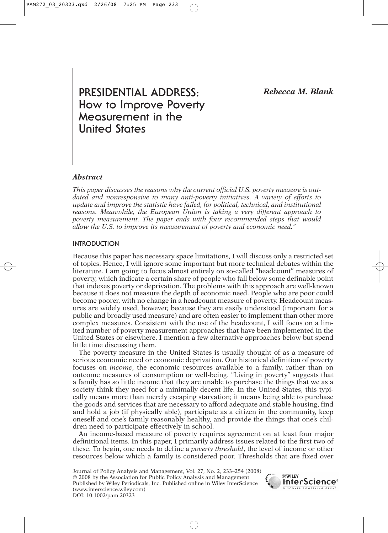# **PRESIDENTIAL ADDRESS:** *Rebecca M. Blank* **How to Improve Poverty Measurement in the United States**

# *Abstract*

*This paper discusses the reasons why the current official U.S. poverty measure is outdated and nonresponsive to many anti-poverty initiatives. A variety of efforts to update and improve the statistic have failed, for political, technical, and institutional reasons. Meanwhile, the European Union is taking a very different approach to poverty measurement. The paper ends with four recommended steps that would allow the U.S. to improve its measurement of poverty and economic need."* 

# **INTRODUCTION**

Because this paper has necessary space limitations, I will discuss only a restricted set of topics. Hence, I will ignore some important but more technical debates within the literature. I am going to focus almost entirely on so-called "headcount" measures of poverty, which indicate a certain share of people who fall below some definable point that indexes poverty or deprivation. The problems with this approach are well-known because it does not measure the depth of economic need. People who are poor could become poorer, with no change in a headcount measure of poverty. Headcount measures are widely used, however, because they are easily understood (important for a public and broadly used measure) and are often easier to implement than other more complex measures. Consistent with the use of the headcount, I will focus on a limited number of poverty measurement approaches that have been implemented in the United States or elsewhere. I mention a few alternative approaches below but spend little time discussing them.

The poverty measure in the United States is usually thought of as a measure of serious economic need or economic deprivation. Our historical definition of poverty focuses on *income*, the economic resources available to a family, rather than on outcome measures of consumption or well-being. "Living in poverty" suggests that a family has so little income that they are unable to purchase the things that we as a society think they need for a minimally decent life. In the United States, this typically means more than merely escaping starvation; it means being able to purchase the goods and services that are necessary to afford adequate and stable housing, find and hold a job (if physically able), participate as a citizen in the community, keep oneself and one's family reasonably healthy, and provide the things that one's children need to participate effectively in school.

An income-based measure of poverty requires agreement on at least four major definitional items. In this paper, I primarily address issues related to the first two of these. To begin, one needs to define a *poverty threshold*, the level of income or other resources below which a family is considered poor. Thresholds that are fixed over

Journal of Policy Analysis and Management, Vol. 27, No. 2, 233–254 (2008) © 2008 by the Association for Public Policy Analysis and Management Published by Wiley Periodicals, Inc. Published online in Wiley InterScience (www.interscience.wiley.com) DOI: 10.1002/pam.20323

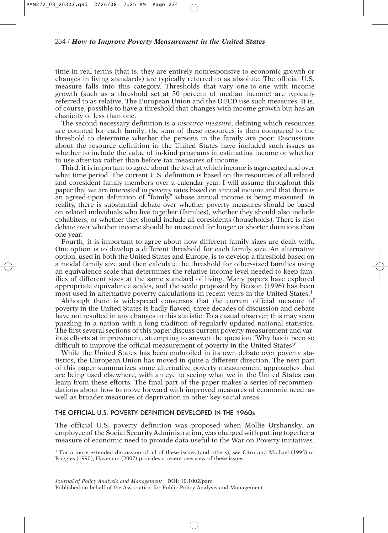time in real terms (that is, they are entirely nonresponsive to economic growth or changes in living standards) are typically referred to as absolute. The official U.S. measure falls into this category. Thresholds that vary one-to-one with income growth (such as a threshold set at 50 percent of median income) are typically referred to as relative. The European Union and the OECD use such measures. It is, of course, possible to have a threshold that changes with income growth but has an elasticity of less than one.

The second necessary definition is a *resource measure*, defining which resources are counted for each family; the sum of these resources is then compared to the threshold to determine whether the persons in the family are poor. Discussions about the resource definition in the United States have included such issues as whether to include the value of in-kind programs in estimating income or whether to use after-tax rather than before-tax measures of income.

Third, it is important to agree about the level at which income is aggregated and over what time period. The current U.S. definition is based on the resources of all related and coresident family members over a calendar year. I will assume throughout this paper that we are interested in poverty rates based on annual income and that there is an agreed-upon definition of "family" whose annual income is being measured. In reality, there is substantial debate over whether poverty measures should be based on related individuals who live together (families), whether they should also include cohabiters, or whether they should include all coresidents (households). There is also debate over whether income should be measured for longer or shorter durations than one year.

Fourth, it is important to agree about how different family sizes are dealt with. One option is to develop a different threshold for each family size. An alternative option, used in both the United States and Europe, is to develop a threshold based on a modal family size and then calculate the threshold for other-sized families using an equivalence scale that determines the relative income level needed to keep families of different sizes at the same standard of living. Many papers have explored appropriate equivalence scales, and the scale proposed by Betson (1996) has been most used in alternative poverty calculations in recent years in the United States.1

Although there is widespread consensus that the current official measure of poverty in the United States is badly flawed, three decades of discussion and debate have not resulted in any changes to this statistic. To a casual observer, this may seem puzzling in a nation with a long tradition of regularly updated national statistics. The first several sections of this paper discuss current poverty measurement and various efforts at improvement, attempting to answer the question "Why has it been so difficult to improve the official measurement of poverty in the United States?"

While the United States has been embroiled in its own debate over poverty statistics, the European Union has moved in quite a different direction. The next part of this paper summarizes some alternative poverty measurement approaches that are being used elsewhere, with an eye to seeing what we in the United States can learn from these efforts. The final part of the paper makes a series of recommendations about how to move forward with improved measures of economic need, as well as broader measures of deprivation in other key social areas.

## **THE OFFICIAL U.S. POVERTY DEFINITION DEVELOPED IN THE 1960s**

The official U.S. poverty definition was proposed when Mollie Orshansky, an employee of the Social Security Administration, was charged with putting together a measure of economic need to provide data useful to the War on Poverty initiatives.

<sup>1</sup> For a more extended discussion of all of these issues (and others), see Citro and Michael (1995) or Ruggles (1990); Haveman (2007) provides a recent overview of these issues.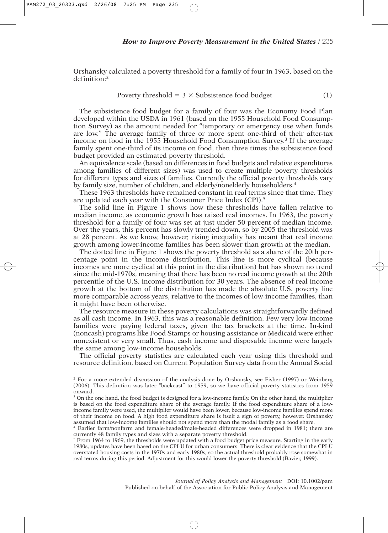Orshansky calculated a poverty threshold for a family of four in 1963, based on the definition:2

$$
Powerty threshold = 3 \times Subsistence food budget \tag{1}
$$

The subsistence food budget for a family of four was the Economy Food Plan developed within the USDA in 1961 (based on the 1955 Household Food Consumption Survey) as the amount needed for "temporary or emergency use when funds are low." The average family of three or more spent one-third of their after-tax income on food in the 1955 Household Food Consumption Survey.3 If the average family spent one-third of its income on food, then three times the subsistence food budget provided an estimated poverty threshold.

An equivalence scale (based on differences in food budgets and relative expenditures among families of different sizes) was used to create multiple poverty thresholds for different types and sizes of families. Currently the official poverty thresholds vary by family size, number of children, and elderly/nonelderly householders.<sup>4</sup>

These 1963 thresholds have remained constant in real terms since that time. They are updated each year with the Consumer Price Index (CPI).5

The solid line in Figure 1 shows how these thresholds have fallen relative to median income, as economic growth has raised real incomes. In 1963, the poverty threshold for a family of four was set at just under 50 percent of median income. Over the years, this percent has slowly trended down, so by 2005 the threshold was at 28 percent. As we know, however, rising inequality has meant that real income growth among lower-income families has been slower than growth at the median.

The dotted line in Figure 1 shows the poverty threshold as a share of the 20th percentage point in the income distribution. This line is more cyclical (because incomes are more cyclical at this point in the distribution) but has shown no trend since the mid-1970s, meaning that there has been no real income growth at the 20th percentile of the U.S. income distribution for 30 years. The absence of real income growth at the bottom of the distribution has made the absolute U.S. poverty line more comparable across years, relative to the incomes of low-income families, than it might have been otherwise.

The resource measure in these poverty calculations was straightforwardly defined as all cash income. In 1963, this was a reasonable definition. Few very low-income families were paying federal taxes, given the tax brackets at the time. In-kind (noncash) programs like Food Stamps or housing assistance or Medicaid were either nonexistent or very small. Thus, cash income and disposable income were largely the same among low-income households.

The official poverty statistics are calculated each year using this threshold and resource definition, based on Current Population Survey data from the Annual Social

<sup>4</sup> Earlier farm/nonfarm and female-headed/male-headed differences were dropped in 1981; there are currently 48 family types and sizes with a separate poverty threshold.

<sup>5</sup> From 1964 to 1969, the thresholds were updated with a food budget price measure. Starting in the early 1980s, updates have been based on the CPI-U for urban consumers. There is clear evidence that the CPI-U overstated housing costs in the 1970s and early 1980s, so the actual threshold probably rose somewhat in real terms during this period. Adjustment for this would lower the poverty threshold (Bavier, 1999).

<sup>2</sup> For a more extended discussion of the analysis done by Orshansky, see Fisher (1997) or Weinberg (2006). This definition was later "backcast" to 1959, so we have official poverty statistics from 1959 onward.

<sup>&</sup>lt;sup>3</sup> On the one hand, the food budget is designed for a low-income family. On the other hand, the multiplier is based on the food expenditure share of the average family. If the food expenditure share of a lowincome family were used, the multiplier would have been lower, because low-income families spend more of their income on food. A high food expenditure share is itself a sign of poverty, however. Orshansky assumed that low-income families should not spend more than the modal family as a food share.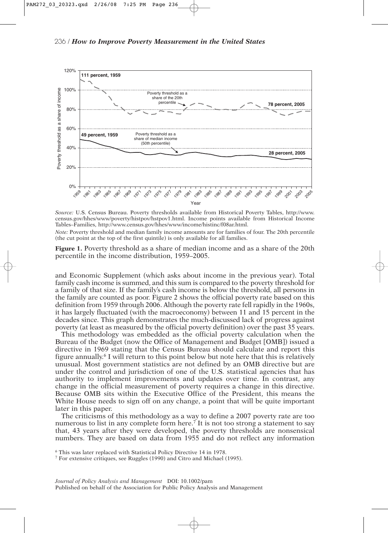

*Source:* U.S. Census Bureau. Poverty thresholds available from Historical Poverty Tables, http://www. census.gov/hhes/www/poverty/histpov/hstpov1.html. Income points available from Historical Income Tables–Families, http://www.census.gov/hhes/www/income/histinc/f08ar.html.

*Note:* Poverty threshold and median family income amounts are for families of four. The 20th percentile (the cut point at the top of the first quintile) is only available for all families.

**Figure 1.** Poverty threshold as a share of median income and as a share of the 20th percentile in the income distribution, 1959–2005.

and Economic Supplement (which asks about income in the previous year). Total family cash income is summed, and this sum is compared to the poverty threshold for a family of that size. If the family's cash income is below the threshold, all persons in the family are counted as poor. Figure 2 shows the official poverty rate based on this definition from 1959 through 2006. Although the poverty rate fell rapidly in the 1960s, it has largely fluctuated (with the macroeconomy) between 11 and 15 percent in the decades since. This graph demonstrates the much-discussed lack of progress against poverty (at least as measured by the official poverty definition) over the past 35 years.

This methodology was embedded as the official poverty calculation when the Bureau of the Budget (now the Office of Management and Budget [OMB]) issued a directive in 1969 stating that the Census Bureau should calculate and report this figure annually.<sup>6</sup> I will return to this point below but note here that this is relatively unusual. Most government statistics are not defined by an OMB directive but are under the control and jurisdiction of one of the U.S. statistical agencies that has authority to implement improvements and updates over time. In contrast, any change in the official measurement of poverty requires a change in this directive. Because OMB sits within the Executive Office of the President, this means the White House needs to sign off on any change, a point that will be quite important later in this paper.

The criticisms of this methodology as a way to define a 2007 poverty rate are too numerous to list in any complete form here.<sup>7</sup> It is not too strong a statement to say that, 43 years after they were developed, the poverty thresholds are nonsensical numbers. They are based on data from 1955 and do not reflect any information

<sup>6</sup> This was later replaced with Statistical Policy Directive 14 in 1978.

<sup>7</sup> For extensive critiques, see Ruggles (1990) and Citro and Michael (1995).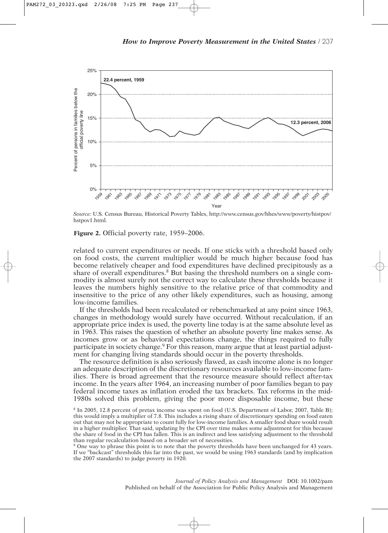

*Source:* U.S. Census Bureau, Historical Poverty Tables, http://www.census.gov/hhes/www/poverty/histpov/ hstpov1.html.

**Figure 2.** Official poverty rate, 1959–2006.

related to current expenditures or needs. If one sticks with a threshold based only on food costs, the current multiplier would be much higher because food has become relatively cheaper and food expenditures have declined precipitously as a share of overall expenditures.<sup>8</sup> But basing the threshold numbers on a single commodity is almost surely not the correct way to calculate these thresholds because it leaves the numbers highly sensitive to the relative price of that commodity and insensitive to the price of any other likely expenditures, such as housing, among low-income families.

If the thresholds had been recalculated or rebenchmarked at any point since 1963, changes in methodology would surely have occurred. Without recalculation, if an appropriate price index is used, the poverty line today is at the same absolute level as in 1963. This raises the question of whether an absolute poverty line makes sense. As incomes grow or as behavioral expectations change, the things required to fully participate in society change.9 For this reason, many argue that at least partial adjustment for changing living standards should occur in the poverty thresholds.

The resource definition is also seriously flawed, as cash income alone is no longer an adequate description of the discretionary resources available to low-income families. There is broad agreement that the resource measure should reflect after-tax income. In the years after 1964, an increasing number of poor families began to pay federal income taxes as inflation eroded the tax brackets. Tax reforms in the mid-1980s solved this problem, giving the poor more disposable income, but these

<sup>8</sup> In 2005, 12.8 percent of pretax income was spent on food (U.S. Department of Labor, 2007, Table B); this would imply a multiplier of 7.8. This includes a rising share of discretionary spending on food eaten out that may not be appropriate to count fully for low-income families. A smaller food share would result in a higher multiplier. That said, updating by the CPI over time makes some adjustment for this because the share of food in the CPI has fallen. This is an indirect and less satisfying adjustment to the threshold than regular recalculation based on a broader set of necessities.

<sup>9</sup> One way to phrase this point is to note that the poverty thresholds have been unchanged for 43 years. If we "backcast" thresholds this far into the past, we would be using 1963 standards (and by implication the 2007 standards) to judge poverty in 1920.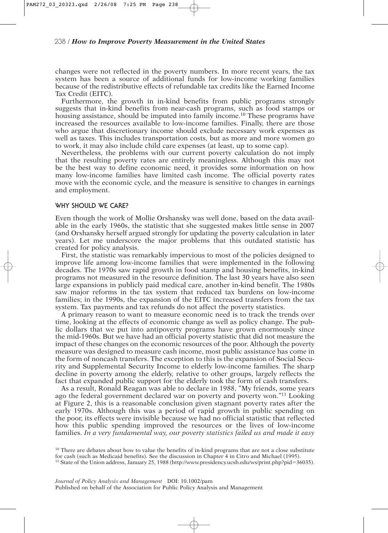changes were not reflected in the poverty numbers. In more recent years, the tax system has been a source of additional funds for low-income working families because of the redistributive effects of refundable tax credits like the Earned Income Tax Credit (EITC).

Furthermore, the growth in in-kind benefits from public programs strongly suggests that in-kind benefits from near-cash programs, such as food stamps or housing assistance, should be imputed into family income.<sup>10</sup> These programs have increased the resources available to low-income families. Finally, there are those who argue that discretionary income should exclude necessary work expenses as well as taxes. This includes transportation costs, but as more and more women go to work, it may also include child care expenses (at least, up to some cap).

Nevertheless, the problems with our current poverty calculation do not imply that the resulting poverty rates are entirely meaningless. Although this may not be the best way to define economic need, it provides some information on how many low-income families have limited cash income. The official poverty rates move with the economic cycle, and the measure is sensitive to changes in earnings and employment.

## **WHY SHOULD WE CARE?**

Even though the work of Mollie Orshansky was well done, based on the data available in the early 1960s, the statistic that she suggested makes little sense in 2007 (and Orshansky herself argued strongly for updating the poverty calculation in later years). Let me underscore the major problems that this outdated statistic has created for policy analysis.

First, the statistic was remarkably impervious to most of the policies designed to improve life among low-income families that were implemented in the following decades. The 1970s saw rapid growth in food stamp and housing benefits, in-kind programs not measured in the resource definition. The last 30 years have also seen large expansions in publicly paid medical care, another in-kind benefit. The 1980s saw major reforms in the tax system that reduced tax burdens on low-income families; in the 1990s, the expansion of the EITC increased transfers from the tax system. Tax payments and tax refunds do not affect the poverty statistics.

A primary reason to want to measure economic need is to track the trends over time, looking at the effects of economic change as well as policy change. The public dollars that we put into antipoverty programs have grown enormously since the mid-1960s. But we have had an official poverty statistic that did not measure the impact of these changes on the economic resources of the poor. Although the poverty measure was designed to measure cash income, most public assistance has come in the form of noncash transfers. The exception to this is the expansion of Social Security and Supplemental Security Income to elderly low-income families. The sharp decline in poverty among the elderly, relative to other groups, largely reflects the fact that expanded public support for the elderly took the form of cash transfers.

As a result, Ronald Reagan was able to declare in 1988, "My friends, some years ago the federal government declared war on poverty and poverty won."11 Looking at Figure 2, this is a reasonable conclusion given stagnant poverty rates after the early 1970s. Although this was a period of rapid growth in public spending on the poor, its effects were invisible because we had no official statistic that reflected how this public spending improved the resources or the lives of low-income families. *In a very fundamental way, our poverty statistics failed us and made it easy*

 $10$  There are debates about how to value the benefits of in-kind programs that are not a close substitute for cash (such as Medicaid benefits). See the discussion in Chapter 4 in Citro and Michael (1995).

<sup>&</sup>lt;sup>11</sup> State of the Union address, January 25, 1988 (http://www.presidency.ucsb.edu/ws/print.php?pid=36035).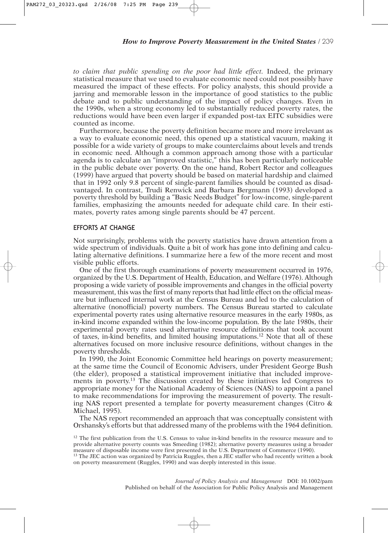*to claim that public spending on the poor had little effect.* Indeed, the primary statistical measure that we used to evaluate economic need could not possibly have measured the impact of these effects. For policy analysts, this should provide a jarring and memorable lesson in the importance of good statistics to the public debate and to public understanding of the impact of policy changes. Even in the 1990s, when a strong economy led to substantially reduced poverty rates, the reductions would have been even larger if expanded post-tax EITC subsidies were counted as income.

Furthermore, because the poverty definition became more and more irrelevant as a way to evaluate economic need, this opened up a statistical vacuum, making it possible for a wide variety of groups to make counterclaims about levels and trends in economic need. Although a common approach among those with a particular agenda is to calculate an "improved statistic," this has been particularly noticeable in the public debate over poverty. On the one hand, Robert Rector and colleagues (1999) have argued that poverty should be based on material hardship and claimed that in 1992 only 9.8 percent of single-parent families should be counted as disadvantaged. In contrast, Trudi Renwick and Barbara Bergmann (1993) developed a poverty threshold by building a "Basic Needs Budget" for low-income, single-parent families, emphasizing the amounts needed for adequate child care. In their estimates, poverty rates among single parents should be 47 percent.

# **EFFORTS AT CHANGE**

Not surprisingly, problems with the poverty statistics have drawn attention from a wide spectrum of individuals. Quite a bit of work has gone into defining and calculating alternative definitions. I summarize here a few of the more recent and most visible public efforts.

One of the first thorough examinations of poverty measurement occurred in 1976, organized by the U.S. Department of Health, Education, and Welfare (1976). Although proposing a wide variety of possible improvements and changes in the official poverty measurement, this was the first of many reports that had little effect on the official measure but influenced internal work at the Census Bureau and led to the calculation of alternative (nonofficial) poverty numbers. The Census Bureau started to calculate experimental poverty rates using alternative resource measures in the early 1980s, as in-kind income expanded within the low-income population. By the late 1980s, their experimental poverty rates used alternative resource definitions that took account of taxes, in-kind benefits, and limited housing imputations.12 Note that all of these alternatives focused on more inclusive resource definitions, without changes in the poverty thresholds.

In 1990, the Joint Economic Committee held hearings on poverty measurement; at the same time the Council of Economic Advisers, under President George Bush (the elder), proposed a statistical improvement initiative that included improvements in poverty.13 The discussion created by these initiatives led Congress to appropriate money for the National Academy of Sciences (NAS) to appoint a panel to make recommendations for improving the measurement of poverty. The resulting NAS report presented a template for poverty measurement changes (Citro & Michael, 1995).

The NAS report recommended an approach that was conceptually consistent with Orshansky's efforts but that addressed many of the problems with the 1964 definition.

<sup>12</sup> The first publication from the U.S. Census to value in-kind benefits in the resource measure and to provide alternative poverty counts was Smeeding (1982); alternative poverty measures using a broader measure of disposable income were first presented in the U.S. Department of Commerce (1990).

<sup>13</sup> The JEC action was organized by Patricia Ruggles, then a JEC staffer who had recently written a book on poverty measurement (Ruggles, 1990) and was deeply interested in this issue.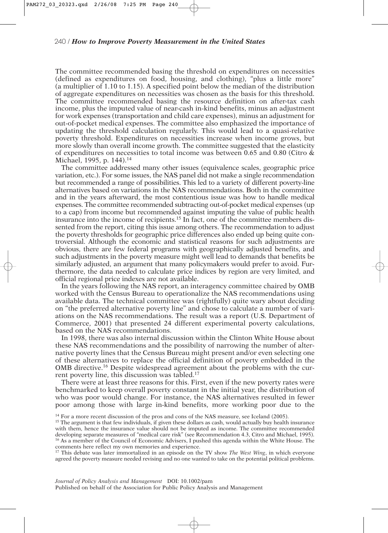The committee recommended basing the threshold on expenditures on necessities (defined as expenditures on food, housing, and clothing), "plus a little more" (a multiplier of 1.10 to 1.15). A specified point below the median of the distribution of aggregate expenditures on necessities was chosen as the basis for this threshold. The committee recommended basing the resource definition on after-tax cash income, plus the imputed value of near-cash in-kind benefits, minus an adjustment for work expenses (transportation and child care expenses), minus an adjustment for out-of-pocket medical expenses. The committee also emphasized the importance of updating the threshold calculation regularly. This would lead to a quasi-relative poverty threshold. Expenditures on necessities increase when income grows, but more slowly than overall income growth. The committee suggested that the elasticity of expenditures on necessities to total income was between 0.65 and 0.80 (Citro & Michael, 1995, p. 144).<sup>14</sup>

The committee addressed many other issues (equivalence scales, geographic price variation, etc.). For some issues, the NAS panel did not make a single recommendation but recommended a range of possibilities. This led to a variety of different poverty-line alternatives based on variations in the NAS recommendations. Both in the committee and in the years afterward, the most contentious issue was how to handle medical expenses. The committee recommended subtracting out-of-pocket medical expenses (up to a cap) from income but recommended against imputing the value of public health insurance into the income of recipients.15 In fact, one of the committee members dissented from the report, citing this issue among others. The recommendation to adjust the poverty thresholds for geographic price differences also ended up being quite controversial. Although the economic and statistical reasons for such adjustments are obvious, there are few federal programs with geographically adjusted benefits, and such adjustments in the poverty measure might well lead to demands that benefits be similarly adjusted, an argument that many policymakers would prefer to avoid. Furthermore, the data needed to calculate price indices by region are very limited, and official regional price indexes are not available.

In the years following the NAS report, an interagency committee chaired by OMB worked with the Census Bureau to operationalize the NAS recommendations using available data. The technical committee was (rightfully) quite wary about deciding on "the preferred alternative poverty line" and chose to calculate a number of variations on the NAS recommendations. The result was a report (U.S. Department of Commerce, 2001) that presented 24 different experimental poverty calculations, based on the NAS recommendations.

In 1998, there was also internal discussion within the Clinton White House about these NAS recommendations and the possibility of narrowing the number of alternative poverty lines that the Census Bureau might present and/or even selecting one of these alternatives to replace the official definition of poverty embedded in the OMB directive.16 Despite widespread agreement about the problems with the current poverty line, this discussion was tabled.17

There were at least three reasons for this. First, even if the new poverty rates were benchmarked to keep overall poverty constant in the initial year, the distribution of who was poor would change. For instance, the NAS alternatives resulted in fewer poor among those with large in-kind benefits, more working poor due to the

<sup>17</sup> This debate was later immortalized in an episode on the TV show *The West Wing*, in which everyone agreed the poverty measure needed revising and no one wanted to take on the potential political problems.

<sup>&</sup>lt;sup>14</sup> For a more recent discussion of the pros and cons of the NAS measure, see Iceland (2005).

<sup>&</sup>lt;sup>15</sup> The argument is that few individuals, if given these dollars as cash, would actually buy health insurance with them, hence the insurance value should not be imputed as income. The committee recommended developing separate measures of "medical care risk" (see Recommendation 4.3, Citro and Michael, 1995). <sup>16</sup> As a member of the Council of Economic Advisers, I pushed this agenda within the White House. The comments here reflect my own memories and experience.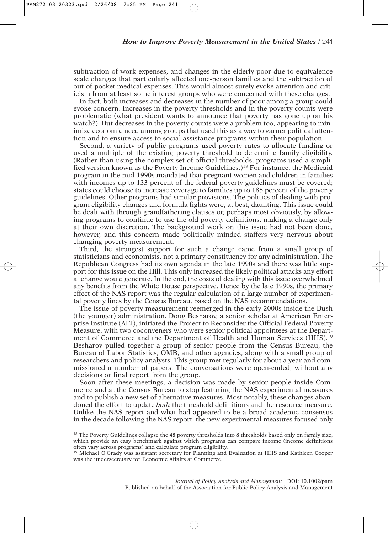subtraction of work expenses, and changes in the elderly poor due to equivalence scale changes that particularly affected one-person families and the subtraction of out-of-pocket medical expenses. This would almost surely evoke attention and criticism from at least some interest groups who were concerned with these changes.

In fact, both increases and decreases in the number of poor among a group could evoke concern. Increases in the poverty thresholds and in the poverty counts were problematic (what president wants to announce that poverty has gone up on his watch?). But decreases in the poverty counts were a problem too, appearing to minimize economic need among groups that used this as a way to garner political attention and to ensure access to social assistance programs within their population.

Second, a variety of public programs used poverty rates to allocate funding or used a multiple of the existing poverty threshold to determine family eligibility. (Rather than using the complex set of official thresholds, programs used a simplified version known as the Poverty Income Guidelines.)18 For instance, the Medicaid program in the mid-1990s mandated that pregnant women and children in families with incomes up to 133 percent of the federal poverty guidelines must be covered; states could choose to increase coverage to families up to 185 percent of the poverty guidelines. Other programs had similar provisions. The politics of dealing with program eligibility changes and formula fights were, at best, daunting. This issue could be dealt with through grandfathering clauses or, perhaps most obviously, by allowing programs to continue to use the old poverty definitions, making a change only at their own discretion. The background work on this issue had not been done, however, and this concern made politically minded staffers very nervous about changing poverty measurement.

Third, the strongest support for such a change came from a small group of statisticians and economists, not a primary constituency for any administration. The Republican Congress had its own agenda in the late 1990s and there was little support for this issue on the Hill. This only increased the likely political attacks any effort at change would generate. In the end, the costs of dealing with this issue overwhelmed any benefits from the White House perspective. Hence by the late 1990s, the primary effect of the NAS report was the regular calculation of a large number of experimental poverty lines by the Census Bureau, based on the NAS recommendations.

The issue of poverty measurement reemerged in the early 2000s inside the Bush (the younger) administration. Doug Besharov, a senior scholar at American Enterprise Institute (AEI), initiated the Project to Reconsider the Official Federal Poverty Measure, with two coconveners who were senior political appointees at the Department of Commerce and the Department of Health and Human Services (HHS).<sup>19</sup> Besharov pulled together a group of senior people from the Census Bureau, the Bureau of Labor Statistics, OMB, and other agencies, along with a small group of researchers and policy analysts. This group met regularly for about a year and commissioned a number of papers. The conversations were open-ended, without any decisions or final report from the group.

Soon after these meetings, a decision was made by senior people inside Commerce and at the Census Bureau to stop featuring the NAS experimental measures and to publish a new set of alternative measures. Most notably, these changes abandoned the effort to update *both* the threshold definitions and the resource measure. Unlike the NAS report and what had appeared to be a broad academic consensus in the decade following the NAS report, the new experimental measures focused only

 $18$  The Poverty Guidelines collapse the 48 poverty thresholds into 8 thresholds based only on family size, which provide an easy benchmark against which programs can compare income (income definitions often vary across programs) and calculate program eligibility.

<sup>19</sup> Michael O'Grady was assistant secretary for Planning and Evaluation at HHS and Kathleen Cooper was the undersecretary for Economic Affairs at Commerce.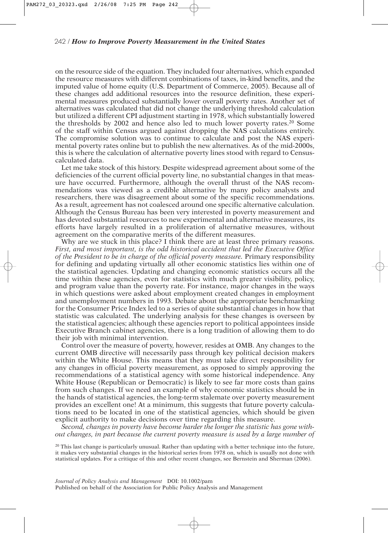on the resource side of the equation. They included four alternatives, which expanded the resource measures with different combinations of taxes, in-kind benefits, and the imputed value of home equity (U.S. Department of Commerce, 2005). Because all of these changes add additional resources into the resource definition, these experimental measures produced substantially lower overall poverty rates. Another set of alternatives was calculated that did not change the underlying threshold calculation but utilized a different CPI adjustment starting in 1978, which substantially lowered the thresholds by 2002 and hence also led to much lower poverty rates.<sup>20</sup> Some of the staff within Census argued against dropping the NAS calculations entirely. The compromise solution was to continue to calculate and post the NAS experimental poverty rates online but to publish the new alternatives. As of the mid-2000s, this is where the calculation of alternative poverty lines stood with regard to Censuscalculated data.

Let me take stock of this history. Despite widespread agreement about some of the deficiencies of the current official poverty line, no substantial changes in that measure have occurred. Furthermore, although the overall thrust of the NAS recommendations was viewed as a credible alternative by many policy analysts and researchers, there was disagreement about some of the specific recommendations. As a result, agreement has not coalesced around one specific alternative calculation. Although the Census Bureau has been very interested in poverty measurement and has devoted substantial resources to new experimental and alternative measures, its efforts have largely resulted in a proliferation of alternative measures, without agreement on the comparative merits of the different measures.

Why are we stuck in this place? I think there are at least three primary reasons. *First, and most important, is the odd historical accident that led the Executive Office of the President to be in charge of the official poverty measure.* Primary responsibility for defining and updating virtually all other economic statistics lies within one of the statistical agencies. Updating and changing economic statistics occurs all the time within these agencies, even for statistics with much greater visibility, policy, and program value than the poverty rate. For instance, major changes in the ways in which questions were asked about employment created changes in employment and unemployment numbers in 1993. Debate about the appropriate benchmarking for the Consumer Price Index led to a series of quite substantial changes in how that statistic was calculated. The underlying analysis for these changes is overseen by the statistical agencies; although these agencies report to political appointees inside Executive Branch cabinet agencies, there is a long tradition of allowing them to do their job with minimal intervention.

Control over the measure of poverty, however, resides at OMB. Any changes to the current OMB directive will necessarily pass through key political decision makers within the White House. This means that they must take direct responsibility for any changes in official poverty measurement, as opposed to simply approving the recommendations of a statistical agency with some historical independence. Any White House (Republican or Democratic) is likely to see far more costs than gains from such changes. If we need an example of why economic statistics should be in the hands of statistical agencies, the long-term stalemate over poverty measurement provides an excellent one! At a minimum, this suggests that future poverty calculations need to be located in one of the statistical agencies, which should be given explicit authority to make decisions over time regarding this measure.

*Second, changes in poverty have become harder the longer the statistic has gone without changes, in part because the current poverty measure is used by a large number of*

 $20$  This last change is particularly unusual. Rather than updating with a better technique into the future, it makes very substantial changes in the historical series from 1978 on, which is usually not done with statistical updates. For a critique of this and other recent changes, see Bernstein and Sherman (2006).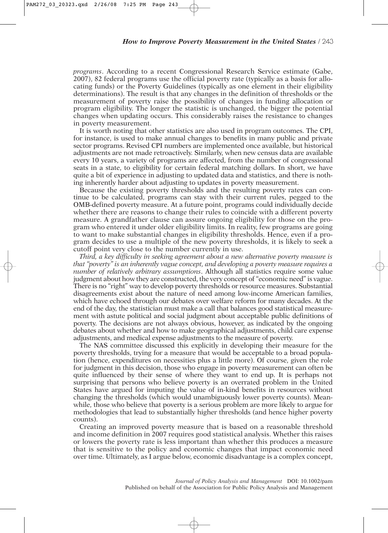*programs*. According to a recent Congressional Research Service estimate (Gabe, 2007), 82 federal programs use the official poverty rate (typically as a basis for allocating funds) or the Poverty Guidelines (typically as one element in their eligibility determinations). The result is that any changes in the definition of thresholds or the measurement of poverty raise the possibility of changes in funding allocation or program eligibility. The longer the statistic is unchanged, the bigger the potential changes when updating occurs. This considerably raises the resistance to changes in poverty measurement.

It is worth noting that other statistics are also used in program outcomes. The CPI, for instance, is used to make annual changes to benefits in many public and private sector programs. Revised CPI numbers are implemented once available, but historical adjustments are not made retroactively. Similarly, when new census data are available every 10 years, a variety of programs are affected, from the number of congressional seats in a state, to eligibility for certain federal matching dollars. In short, we have quite a bit of experience in adjusting to updated data and statistics, and there is nothing inherently harder about adjusting to updates in poverty measurement.

Because the existing poverty thresholds and the resulting poverty rates can continue to be calculated, programs can stay with their current rules, pegged to the OMB-defined poverty measure. At a future point, programs could individually decide whether there are reasons to change their rules to coincide with a different poverty measure. A grandfather clause can assure ongoing eligibility for those on the program who entered it under older eligibility limits. In reality, few programs are going to want to make substantial changes in eligibility thresholds. Hence, even if a program decides to use a multiple of the new poverty thresholds, it is likely to seek a cutoff point very close to the number currently in use.

*Third, a key difficulty in seeking agreement about a new alternative poverty measure is that "poverty" is an inherently vague concept, and developing a poverty measure requires a number of relatively arbitrary assumptions*. Although all statistics require some value judgment about how they are constructed, the very concept of "economic need" is vague. There is no "right" way to develop poverty thresholds or resource measures. Substantial disagreements exist about the nature of need among low-income American families, which have echoed through our debates over welfare reform for many decades. At the end of the day, the statistician must make a call that balances good statistical measurement with astute political and social judgment about acceptable public definitions of poverty. The decisions are not always obvious, however, as indicated by the ongoing debates about whether and how to make geographical adjustments, child care expense adjustments, and medical expense adjustments to the measure of poverty.

The NAS committee discussed this explicitly in developing their measure for the poverty thresholds, trying for a measure that would be acceptable to a broad population (hence, expenditures on necessities plus a little more). Of course, given the role for judgment in this decision, those who engage in poverty measurement can often be quite influenced by their sense of where they want to end up. It is perhaps not surprising that persons who believe poverty is an overrated problem in the United States have argued for imputing the value of in-kind benefits in resources without changing the thresholds (which would unambiguously lower poverty counts). Meanwhile, those who believe that poverty is a serious problem are more likely to argue for methodologies that lead to substantially higher thresholds (and hence higher poverty counts).

Creating an improved poverty measure that is based on a reasonable threshold and income definition in 2007 requires good statistical analysis. Whether this raises or lowers the poverty rate is less important than whether this produces a measure that is sensitive to the policy and economic changes that impact economic need over time. Ultimately, as I argue below, economic disadvantage is a complex concept,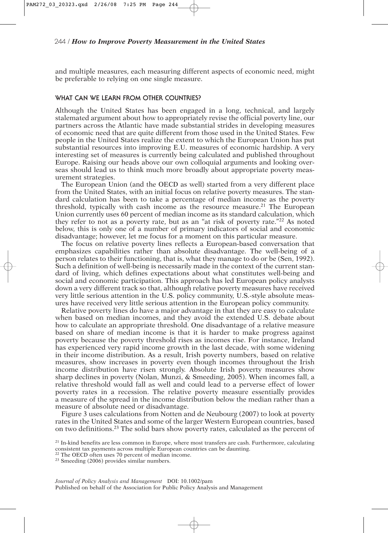and multiple measures, each measuring different aspects of economic need, might be preferable to relying on one single measure.

# **WHAT CAN WE LEARN FROM OTHER COUNTRIES?**

Although the United States has been engaged in a long, technical, and largely stalemated argument about how to appropriately revise the official poverty line, our partners across the Atlantic have made substantial strides in developing measures of economic need that are quite different from those used in the United States. Few people in the United States realize the extent to which the European Union has put substantial resources into improving E.U. measures of economic hardship. A very interesting set of measures is currently being calculated and published throughout Europe. Raising our heads above our own colloquial arguments and looking overseas should lead us to think much more broadly about appropriate poverty measurement strategies.

The European Union (and the OECD as well) started from a very different place from the United States, with an initial focus on relative poverty measures. The standard calculation has been to take a percentage of median income as the poverty threshold, typically with cash income as the resource measure.<sup>21</sup> The European Union currently uses 60 percent of median income as its standard calculation, which they refer to not as a poverty rate, but as an "at risk of poverty rate."22 As noted below, this is only one of a number of primary indicators of social and economic disadvantage; however, let me focus for a moment on this particular measure.

The focus on relative poverty lines reflects a European-based conversation that emphasizes capabilities rather than absolute disadvantage. The well-being of a person relates to their functioning, that is, what they manage to do or be (Sen, 1992). Such a definition of well-being is necessarily made in the context of the current standard of living, which defines expectations about what constitutes well-being and social and economic participation. This approach has led European policy analysts down a very different track so that, although relative poverty measures have received very little serious attention in the U.S. policy community, U.S.-style absolute measures have received very little serious attention in the European policy community.

Relative poverty lines do have a major advantage in that they are easy to calculate when based on median incomes, and they avoid the extended U.S. debate about how to calculate an appropriate threshold. One disadvantage of a relative measure based on share of median income is that it is harder to make progress against poverty because the poverty threshold rises as incomes rise. For instance, Ireland has experienced very rapid income growth in the last decade, with some widening in their income distribution. As a result, Irish poverty numbers, based on relative measures, show increases in poverty even though incomes throughout the Irish income distribution have risen strongly. Absolute Irish poverty measures show sharp declines in poverty (Nolan, Munzi, & Smeeding, 2005). When incomes fall, a relative threshold would fall as well and could lead to a perverse effect of lower poverty rates in a recession. The relative poverty measure essentially provides a measure of the spread in the income distribution below the median rather than a measure of absolute need or disadvantage.

Figure 3 uses calculations from Notten and de Neubourg (2007) to look at poverty rates in the United States and some of the larger Western European countries, based on two definitions.23 The solid bars show poverty rates, calculated as the percent of

<sup>&</sup>lt;sup>21</sup> In-kind benefits are less common in Europe, where most transfers are cash. Furthermore, calculating consistent tax payments across multiple European countries can be daunting.

<sup>22</sup> The OECD often uses 70 percent of median income.

<sup>23</sup> Smeeding (2006) provides similar numbers.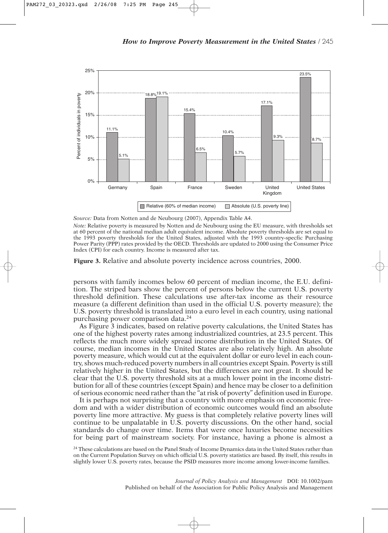

*Source:* Data from Notten and de Neubourg (2007), Appendix Table A4.

*Note:* Relative poverty is measured by Notten and de Neubourg using the EU measure, with thresholds set at 60 percent of the national median adult equivalent income. Absolute poverty thresholds are set equal to the 1993 poverty thresholds for the United States, adjusted with the 1993 country-specfic Purchasing Power Parity (PPP) rates provided by the OECD. Thresholds are updated to 2000 using the Consumer Price Index (CPI) for each country. Income is measured after tax.

**Figure 3.** Relative and absolute poverty incidence across countries, 2000.

persons with family incomes below 60 percent of median income, the E.U. definition. The striped bars show the percent of persons below the current U.S. poverty threshold definition. These calculations use after-tax income as their resource measure (a different definition than used in the official U.S. poverty measure); the U.S. poverty threshold is translated into a euro level in each country, using national purchasing power comparison data.24

As Figure 3 indicates, based on relative poverty calculations, the United States has one of the highest poverty rates among industrialized countries, at 23.5 percent. This reflects the much more widely spread income distribution in the United States. Of course, median incomes in the United States are also relatively high. An absolute poverty measure, which would cut at the equivalent dollar or euro level in each country, shows much-reduced poverty numbers in all countries except Spain. Poverty is still relatively higher in the United States, but the differences are not great. It should be clear that the U.S. poverty threshold sits at a much lower point in the income distribution for all of these countries (except Spain) and hence may be closer to a definition of serious economic need rather than the "at risk of poverty" definition used in Europe.

It is perhaps not surprising that a country with more emphasis on economic freedom and with a wider distribution of economic outcomes would find an absolute poverty line more attractive. My guess is that completely relative poverty lines will continue to be unpalatable in U.S. poverty discussions. On the other hand, social standards do change over time. Items that were once luxuries become necessities for being part of mainstream society. For instance, having a phone is almost a

<sup>24</sup> These calculations are based on the Panel Study of Income Dynamics data in the United States rather than on the Current Population Survey on which official U.S. poverty statistics are based. By itself, this results in slightly lower U.S. poverty rates, because the PSID measures more income among lower-income families.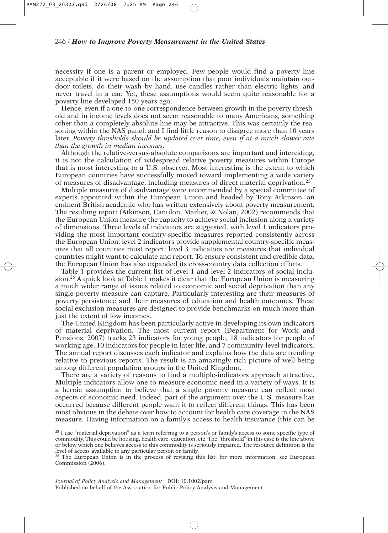necessity if one is a parent or employed. Few people would find a poverty line acceptable if it were based on the assumption that poor individuals maintain outdoor toilets, do their wash by hand, use candles rather than electric lights, and never travel in a car. Yet, these assumptions would seem quite reasonable for a poverty line developed 150 years ago.

Hence, even if a one-to-one correspondence between growth in the poverty threshold and in income levels does not seem reasonable to many Americans, something other than a completely absolute line may be attractive. This was certainly the reasoning within the NAS panel, and I find little reason to disagree more than 10 years later. *Poverty thresholds should be updated over time, even if at a much slower rate than the growth in median incomes.*

Although the relative-versus-absolute comparisons are important and interesting, it is not the calculation of widespread relative poverty measures within Europe that is most interesting to a U.S. observer. Most interesting is the extent to which European countries have successfully moved toward implementing a wide variety of measures of disadvantage, including measures of direct material deprivation.25

Multiple measures of disadvantage were recommended by a special committee of experts appointed within the European Union and headed by Tony Atkinson, an eminent British academic who has written extensively about poverty measurement. The resulting report (Atkinson, Cantilon, Marlier, & Nolan, 2002) recommends that the European Union measure the capacity to achieve social inclusion along a variety of dimensions. Three levels of indicators are suggested, with level 1 indicators providing the most important country-specific measures reported consistently across the European Union; level 2 indicators provide supplemental country-specific measures that all countries must report; level 3 indicators are measures that individual countries might want to calculate and report. To ensure consistent and credible data, the European Union has also expanded its cross-country data collection efforts.

Table 1 provides the current list of level 1 and level 2 indicators of social inclusion.26 A quick look at Table 1 makes it clear that the European Union is measuring a much wider range of issues related to economic and social deprivation than any single poverty measure can capture. Particularly interesting are their measures of poverty persistence and their measures of education and health outcomes. These social exclusion measures are designed to provide benchmarks on much more than just the extent of low incomes.

The United Kingdom has been particularly active in developing its own indicators of material deprivation. The most current report (Department for Work and Pensions, 2007) tracks 23 indicators for young people, 18 indicators for people of working age, 10 indicators for people in later life, and 7 community-level indicators. The annual report discusses each indicator and explains how the data are trending relative to previous reports. The result is an amazingly rich picture of well-being among different population groups in the United Kingdom.

There are a variety of reasons to find a multiple-indicators approach attractive. Multiple indicators allow one to measure economic need in a variety of ways. It is a heroic assumption to believe that a single poverty measure can reflect most aspects of economic need. Indeed, part of the argument over the U.S. measure has occurred because different people want it to reflect different things. This has been most obvious in the debate over how to account for health care coverage in the NAS measure. Having information on a family's access to health insurance (this can be

<sup>26</sup> The European Union is in the process of revising this list; for more information, see European Commission (2006).

<sup>&</sup>lt;sup>25</sup> I use "material deprivation" as a term referring to a person's or family's access to some specific type of commodity. This could be housing, health care, education, etc. The "threshold" in this case is the line above or below which one believes access to this commodity is seriously impaired. The resource definition is the level of access available to any particular person or family.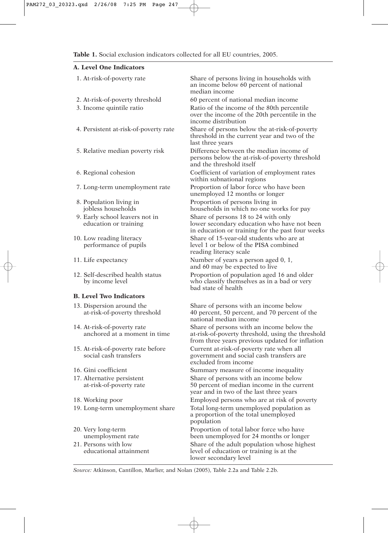# **A. Level One Indicators**

|                                | 1. At-risk-of-poverty rate                                  | Share of persons living in households with<br>an income below 60 percent of national<br>median income                                             |
|--------------------------------|-------------------------------------------------------------|---------------------------------------------------------------------------------------------------------------------------------------------------|
|                                | 2. At-risk-of-poverty threshold                             | 60 percent of national median income                                                                                                              |
|                                | 3. Income quintile ratio                                    | Ratio of the income of the 80th percentile<br>over the income of the 20th percentile in the<br>income distribution                                |
|                                | 4. Persistent at-risk-of-poverty rate                       | Share of persons below the at-risk-of-poverty<br>threshold in the current year and two of the<br>last three years                                 |
|                                | 5. Relative median poverty risk                             | Difference between the median income of<br>persons below the at-risk-of-poverty threshold<br>and the threshold itself                             |
|                                | 6. Regional cohesion                                        | Coefficient of variation of employment rates<br>within subnational regions                                                                        |
|                                | 7. Long-term unemployment rate                              | Proportion of labor force who have been<br>unemployed 12 months or longer                                                                         |
|                                | 8. Population living in<br>jobless households               | Proportion of persons living in<br>households in which no one works for pay                                                                       |
|                                | 9. Early school leavers not in<br>education or training     | Share of persons 18 to 24 with only<br>lower secondary education who have not been<br>in education or training for the past four weeks            |
|                                | 10. Low reading literacy<br>performance of pupils           | Share of 15-year-old students who are at<br>level 1 or below of the PISA combined<br>reading literacy scale                                       |
|                                | 11. Life expectancy                                         | Number of years a person aged 0, 1,<br>and 60 may be expected to live                                                                             |
|                                | 12. Self-described health status<br>by income level         | Proportion of population aged 16 and older<br>who classify themselves as in a bad or very<br>bad state of health                                  |
| <b>B. Level Two Indicators</b> |                                                             |                                                                                                                                                   |
|                                | 13. Dispersion around the<br>at-risk-of-poverty threshold   | Share of persons with an income below<br>40 percent, 50 percent, and 70 percent of the<br>national median income                                  |
|                                | 14. At-risk-of-poverty rate<br>anchored at a moment in time | Share of persons with an income below the<br>at-risk-of-poverty threshold, using the threshold<br>from three years previous updated for inflation |
|                                | 15. At-risk-of-poverty rate before<br>social cash transfers | Current at-risk-of-poverty rate when all<br>government and social cash transfers are<br>excluded from income                                      |
|                                | 16. Gini coefficient                                        | Summary measure of income inequality                                                                                                              |
|                                | 17. Alternative persistent<br>at-risk-of-poverty rate       | Share of persons with an income below<br>50 percent of median income in the current<br>year and in two of the last three years                    |
|                                | 18. Working poor                                            | Employed persons who are at risk of poverty                                                                                                       |
|                                | 19. Long-term unemployment share                            | Total long-term unemployed population as<br>a proportion of the total unemployed<br>population                                                    |
|                                | 20. Very long-term<br>unemployment rate                     | Proportion of total labor force who have<br>been unemployed for 24 months or longer                                                               |
|                                | 21. Persons with low<br>educational attainment              | Share of the adult population whose highest<br>level of education or training is at the<br>lower secondary level                                  |

*Source:* Atkinson, Cantillon, Marlier, and Nolan (2005), Table 2.2a and Table 2.2b.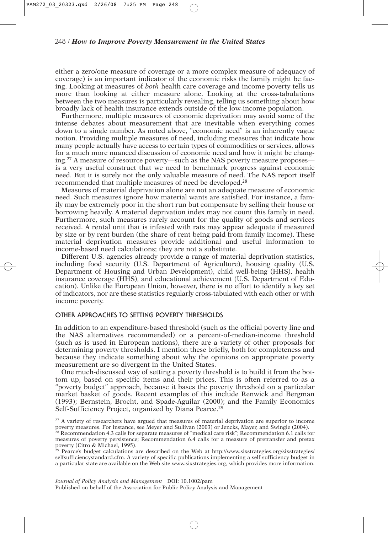either a zero/one measure of coverage or a more complex measure of adequacy of coverage) is an important indicator of the economic risks the family might be facing. Looking at measures of *both* health care coverage and income poverty tells us more than looking at either measure alone. Looking at the cross-tabulations between the two measures is particularly revealing, telling us something about how broadly lack of health insurance extends outside of the low-income population.

Furthermore, multiple measures of economic deprivation may avoid some of the intense debates about measurement that are inevitable when everything comes down to a single number. As noted above, "economic need" is an inherently vague notion. Providing multiple measures of need, including measures that indicate how many people actually have access to certain types of commodities or services, allows for a much more nuanced discussion of economic need and how it might be changing.27 A measure of resource poverty—such as the NAS poverty measure proposes is a very useful construct that we need to benchmark progress against economic need. But it is surely not the only valuable measure of need. The NAS report itself recommended that multiple measures of need be developed.28

Measures of material deprivation alone are not an adequate measure of economic need. Such measures ignore how material wants are satisfied. For instance, a family may be extremely poor in the short run but compensate by selling their house or borrowing heavily. A material deprivation index may not count this family in need. Furthermore, such measures rarely account for the quality of goods and services received. A rental unit that is infested with rats may appear adequate if measured by size or by rent burden (the share of rent being paid from family income). These material deprivation measures provide additional and useful information to income-based need calculations; they are not a substitute.

Different U.S. agencies already provide a range of material deprivation statistics, including food security (U.S. Department of Agriculture), housing quality (U.S. Department of Housing and Urban Development), child well-being (HHS), health insurance coverage (HHS), and educational achievement (U.S. Department of Education). Unlike the European Union, however, there is no effort to identify a key set of indicators, nor are these statistics regularly cross-tabulated with each other or with income poverty.

#### **OTHER APPROACHES TO SETTING POVERTY THRESHOLDS**

In addition to an expenditure-based threshold (such as the official poverty line and the NAS alternatives recommended) or a percent-of-median-income threshold (such as is used in European nations), there are a variety of other proposals for determining poverty thresholds. I mention these briefly, both for completeness and because they indicate something about why the opinions on appropriate poverty measurement are so divergent in the United States.

One much-discussed way of setting a poverty threshold is to build it from the bottom up, based on specific items and their prices. This is often referred to as a "poverty budget" approach, because it bases the poverty threshold on a particular market basket of goods. Recent examples of this include Renwick and Bergman (1993); Bernstein, Brocht, and Spade-Aguilar (2000); and the Family Economics Self-Sufficiency Project, organized by Diana Pearce.<sup>29</sup>

 $^{29}$  Pearce's budget calculations are described on the Web at http://www.sixstrategies.org/sixstrategies/ selfsufficiencystandard.cfm. A variety of specific publications implementing a self-sufficiency budget in a particular state are available on the Web site www.sixstrategies.org, which provides more information.

<sup>&</sup>lt;sup>27</sup> A variety of researchers have argued that measures of material deprivation are superior to income poverty measures. For instance, see Meyer and Sullivan (2003) or Jencks, Mayer, and Swingle (2004).

<sup>&</sup>lt;sup>28</sup> Recommendation 4.3 calls for separate measures of "medical care risk"; Recommendation 6.1 calls for measures of poverty persistence; Recommendation 6.4 calls for a measure of pretransfer and pretax poverty (Citro & Michael, 1995).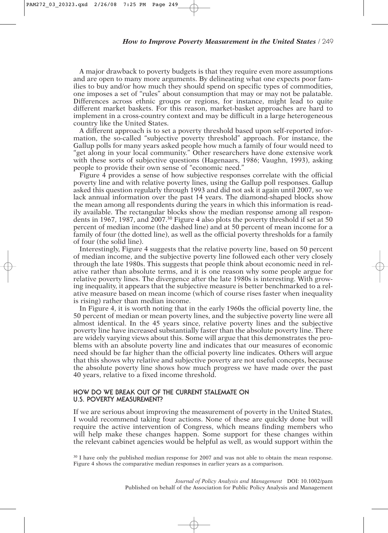A major drawback to poverty budgets is that they require even more assumptions and are open to many more arguments. By delineating what one expects poor families to buy and/or how much they should spend on specific types of commodities, one imposes a set of "rules" about consumption that may or may not be palatable. Differences across ethnic groups or regions, for instance, might lead to quite different market baskets. For this reason, market-basket approaches are hard to implement in a cross-country context and may be difficult in a large heterogeneous country like the United States.

A different approach is to set a poverty threshold based upon self-reported information, the so-called "subjective poverty threshold" approach. For instance, the Gallup polls for many years asked people how much a family of four would need to "get along in your local community." Other researchers have done extensive work with these sorts of subjective questions (Hagenaars, 1986; Vaughn, 1993), asking people to provide their own sense of "economic need."

Figure 4 provides a sense of how subjective responses correlate with the official poverty line and with relative poverty lines, using the Gallup poll responses. Gallup asked this question regularly through 1993 and did not ask it again until 2007, so we lack annual information over the past 14 years. The diamond-shaped blocks show the mean among all respondents during the years in which this information is readily available. The rectangular blocks show the median response among all respondents in 1967, 1987, and 2007.<sup>30</sup> Figure 4 also plots the poverty threshold if set at 50 percent of median income (the dashed line) and at 50 percent of mean income for a family of four (the dotted line), as well as the official poverty thresholds for a family of four (the solid line).

Interestingly, Figure 4 suggests that the relative poverty line, based on 50 percent of median income, and the subjective poverty line followed each other very closely through the late 1980s. This suggests that people think about economic need in relative rather than absolute terms, and it is one reason why some people argue for relative poverty lines. The divergence after the late 1980s is interesting. With growing inequality, it appears that the subjective measure is better benchmarked to a relative measure based on mean income (which of course rises faster when inequality is rising) rather than median income.

In Figure 4, it is worth noting that in the early 1960s the official poverty line, the 50 percent of median or mean poverty lines, and the subjective poverty line were all almost identical. In the 45 years since, relative poverty lines and the subjective poverty line have increased substantially faster than the absolute poverty line. There are widely varying views about this. Some will argue that this demonstrates the problems with an absolute poverty line and indicates that our measures of economic need should be far higher than the official poverty line indicates. Others will argue that this shows why relative and subjective poverty are not useful concepts, because the absolute poverty line shows how much progress we have made over the past 40 years, relative to a fixed income threshold.

# **HOW DO WE BREAK OUT OF THE CURRENT STALEMATE ON U.S. POVERTY MEASUREMENT?**

If we are serious about improving the measurement of poverty in the United States, I would recommend taking four actions. None of these are quickly done but will require the active intervention of Congress, which means finding members who will help make these changes happen. Some support for these changes within the relevant cabinet agencies would be helpful as well, as would support within the

<sup>30</sup> I have only the published median response for 2007 and was not able to obtain the mean response. Figure 4 shows the comparative median responses in earlier years as a comparison.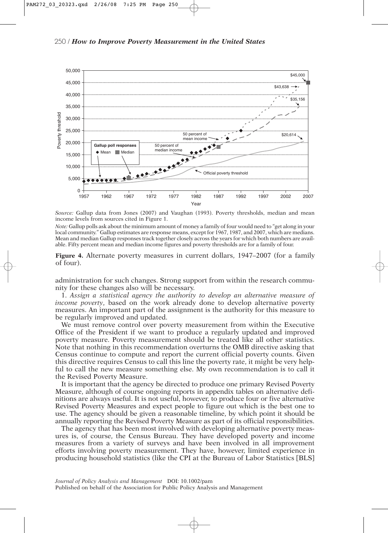

*Source:* Gallup data from Jones (2007) and Vaughan (1993). Poverty thresholds, median and mean income levels from sources cited in Figure 1.

*Note:* Gallup polls ask about the minimum amount of money a family of four would need to "get along in your local community." Gallup estimates are response means, except for 1967, 1987, and 2007, which are medians. Mean and median Gallup responses track together closely across the years for which both numbers are available. Fifty percent mean and median income figures and poverty thresholds are for a family of four.

**Figure 4.** Alternate poverty measures in current dollars, 1947–2007 (for a family of four).

administration for such changes. Strong support from within the research community for these changes also will be necessary.

1. *Assign a statistical agency the authority to develop an alternative measure of income poverty*, based on the work already done to develop alternative poverty measures. An important part of the assignment is the authority for this measure to be regularly improved and updated.

We must remove control over poverty measurement from within the Executive Office of the President if we want to produce a regularly updated and improved poverty measure. Poverty measurement should be treated like all other statistics. Note that nothing in this recommendation overturns the OMB directive asking that Census continue to compute and report the current official poverty counts. Given this directive requires Census to call this line the poverty rate, it might be very helpful to call the new measure something else. My own recommendation is to call it the Revised Poverty Measure.

It is important that the agency be directed to produce one primary Revised Poverty Measure, although of course ongoing reports in appendix tables on alternative definitions are always useful. It is not useful, however, to produce four or five alternative Revised Poverty Measures and expect people to figure out which is the best one to use. The agency should be given a reasonable timeline, by which point it should be annually reporting the Revised Poverty Measure as part of its official responsibilities.

The agency that has been most involved with developing alternative poverty measures is, of course, the Census Bureau. They have developed poverty and income measures from a variety of surveys and have been involved in all improvement efforts involving poverty measurement. They have, however, limited experience in producing household statistics (like the CPI at the Bureau of Labor Statistics [BLS]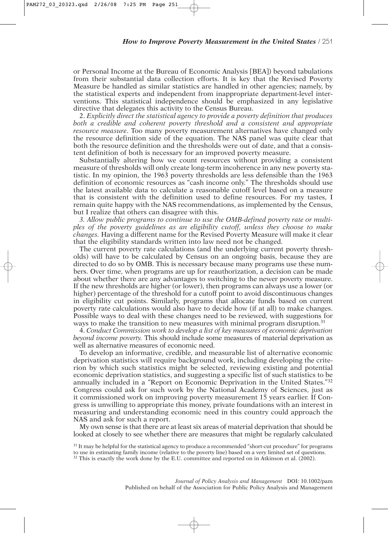or Personal Income at the Bureau of Economic Analysis [BEA]) beyond tabulations from their substantial data collection efforts. It is key that the Revised Poverty Measure be handled as similar statistics are handled in other agencies; namely, by the statistical experts and independent from inappropriate department-level interventions. This statistical independence should be emphasized in any legislative directive that delegates this activity to the Census Bureau.

2. *Explicitly direct the statistical agency to provide a poverty definition that produces both a credible and coherent poverty threshold and a consistent and appropriate resource measure*. Too many poverty measurement alternatives have changed only the resource definition side of the equation. The NAS panel was quite clear that both the resource definition and the thresholds were out of date, and that a consistent definition of both is necessary for an improved poverty measure.

Substantially altering how we count resources without providing a consistent measure of thresholds will only create long-term incoherence in any new poverty statistic. In my opinion, the 1963 poverty thresholds are less defensible than the 1963 definition of economic resources as "cash income only." The thresholds should use the latest available data to calculate a reasonable cutoff level based on a measure that is consistent with the definition used to define resources. For my tastes, I remain quite happy with the NAS recommendations, as implemented by the Census, but I realize that others can disagree with this.

*3. Allow public programs to continue to use the OMB-defined poverty rate or multiples of the poverty guidelines as an eligibility cutoff, unless they choose to make changes.* Having a different name for the Revised Poverty Measure will make it clear that the eligibility standards written into law need not be changed.

The current poverty rate calculations (and the underlying current poverty thresholds) will have to be calculated by Census on an ongoing basis, because they are directed to do so by OMB. This is necessary because many programs use these numbers. Over time, when programs are up for reauthorization, a decision can be made about whether there are any advantages to switching to the newer poverty measure. If the new thresholds are higher (or lower), then programs can always use a lower (or higher) percentage of the threshold for a cutoff point to avoid discontinuous changes in eligibility cut points. Similarly, programs that allocate funds based on current poverty rate calculations would also have to decide how (if at all) to make changes. Possible ways to deal with these changes need to be reviewed, with suggestions for ways to make the transition to new measures with minimal program disruption.<sup>31</sup>

4. *Conduct Commission work to develop a list of key measures of economic deprivation beyond income poverty.* This should include some measures of material deprivation as well as alternative measures of economic need.

To develop an informative, credible, and measurable list of alternative economic deprivation statistics will require background work, including developing the criterion by which such statistics might be selected, reviewing existing and potential economic deprivation statistics, and suggesting a specific list of such statistics to be annually included in a "Report on Economic Deprivation in the United States."32 Congress could ask for such work by the National Academy of Sciences, just as it commissioned work on improving poverty measurement 15 years earlier. If Congress is unwilling to appropriate this money, private foundations with an interest in measuring and understanding economic need in this country could approach the NAS and ask for such a report.

My own sense is that there are at least six areas of material deprivation that should be looked at closely to see whether there are measures that might be regularly calculated

<sup>31</sup> It may be helpful for the statistical agency to produce a recommended "short-cut procedure" for programs to use in estimating family income (relative to the poverty line) based on a very limited set of questions.

 $\frac{32 \text{ This is exactly the work done by the E.U. committee and reported on in Atkinson et al. (2002).}$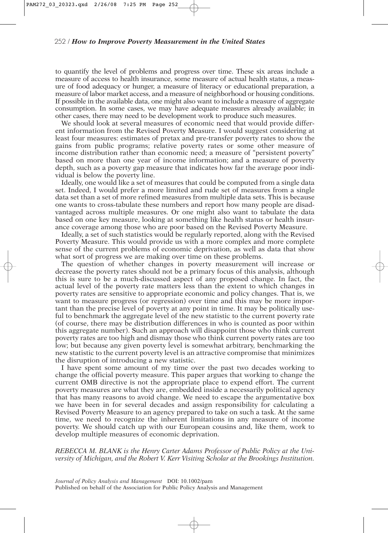to quantify the level of problems and progress over time. These six areas include a measure of access to health insurance, some measure of actual health status, a measure of food adequacy or hunger, a measure of literacy or educational preparation, a measure of labor market access, and a measure of neighborhood or housing conditions. If possible in the available data, one might also want to include a measure of aggregate consumption. In some cases, we may have adequate measures already available; in other cases, there may need to be development work to produce such measures.

We should look at several measures of economic need that would provide different information from the Revised Poverty Measure. I would suggest considering at least four measures: estimates of pretax and pre-transfer poverty rates to show the gains from public programs; relative poverty rates or some other measure of income distribution rather than economic need; a measure of "persistent poverty" based on more than one year of income information; and a measure of poverty depth, such as a poverty gap measure that indicates how far the average poor individual is below the poverty line.

Ideally, one would like a set of measures that could be computed from a single data set. Indeed, I would prefer a more limited and rude set of measures from a single data set than a set of more refined measures from multiple data sets. This is because one wants to cross-tabulate these numbers and report how many people are disadvantaged across multiple measures. Or one might also want to tabulate the data based on one key measure, looking at something like health status or health insurance coverage among those who are poor based on the Revised Poverty Measure.

Ideally, a set of such statistics would be regularly reported, along with the Revised Poverty Measure. This would provide us with a more complex and more complete sense of the current problems of economic deprivation, as well as data that show what sort of progress we are making over time on these problems.

The question of whether changes in poverty measurement will increase or decrease the poverty rates should not be a primary focus of this analysis, although this is sure to be a much-discussed aspect of any proposed change. In fact, the actual level of the poverty rate matters less than the extent to which changes in poverty rates are sensitive to appropriate economic and policy changes. That is, we want to measure progress (or regression) over time and this may be more important than the precise level of poverty at any point in time. It may be politically useful to benchmark the aggregate level of the new statistic to the current poverty rate (of course, there may be distribution differences in who is counted as poor within this aggregate number). Such an approach will disappoint those who think current poverty rates are too high and dismay those who think current poverty rates are too low; but because any given poverty level is somewhat arbitrary, benchmarking the new statistic to the current poverty level is an attractive compromise that minimizes the disruption of introducing a new statistic.

I have spent some amount of my time over the past two decades working to change the official poverty measure. This paper argues that working to change the current OMB directive is not the appropriate place to expend effort. The current poverty measures are what they are, embedded inside a necessarily political agency that has many reasons to avoid change. We need to escape the argumentative box we have been in for several decades and assign responsibility for calculating a Revised Poverty Measure to an agency prepared to take on such a task. At the same time, we need to recognize the inherent limitations in any measure of income poverty. We should catch up with our European cousins and, like them, work to develop multiple measures of economic deprivation.

*REBECCA M. BLANK is the Henry Carter Adams Professor of Public Policy at the University of Michigan, and the Robert V. Kerr Visiting Scholar at the Brookings Institution.*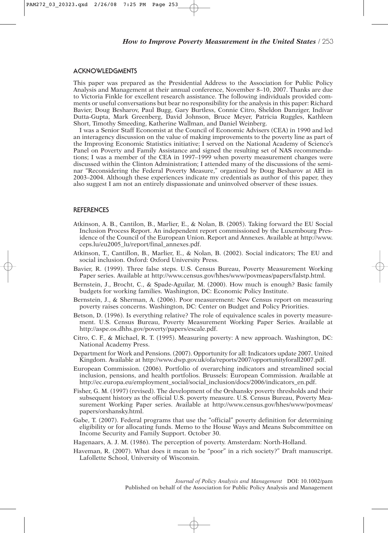#### **ACKNOWLEDGMENTS**

This paper was prepared as the Presidential Address to the Association for Public Policy Analysis and Management at their annual conference, November 8–10, 2007. Thanks are due to Victoria Finkle for excellent research assistance. The following individuals provided comments or useful conversations but bear no responsibility for the analysis in this paper: Richard Bavier, Doug Besharov, Paul Bugg, Gary Burtless, Connie Citro, Sheldon Danziger, Indivar Dutta-Gupta, Mark Greenberg, David Johnson, Bruce Meyer, Patricia Ruggles, Kathleen Short, Timothy Smeeding, Katherine Wallman, and Daniel Weinberg.

I was a Senior Staff Economist at the Council of Economic Advisers (CEA) in 1990 and led an interagency discussion on the value of making improvements to the poverty line as part of the Improving Economic Statistics initiative; I served on the National Academy of Science's Panel on Poverty and Family Assistance and signed the resulting set of NAS recommendations; I was a member of the CEA in 1997–1999 when poverty measurement changes were discussed within the Clinton Administration; I attended many of the discussions of the seminar "Reconsidering the Federal Poverty Measure," organized by Doug Besharov at AEI in 2003–2004. Although these experiences indicate my credentials as author of this paper, they also suggest I am not an entirely dispassionate and uninvolved observer of these issues.

### **REFERENCES**

- Atkinson, A. B., Cantilon, B., Marlier, E., & Nolan, B. (2005). Taking forward the EU Social Inclusion Process Report. An independent report commissioned by the Luxembourg Presidence of the Council of the European Union. Report and Annexes. Available at http://www. ceps.lu/eu2005\_lu/report/final\_annexes.pdf.
- Atkinson, T., Cantillon, B., Marlier, E., & Nolan, B. (2002). Social indicators; The EU and social inclusion. Oxford: Oxford University Press.
- Bavier, R. (1999). Three false steps. U.S. Census Bureau, Poverty Measurement Working Paper series. Available at http://www.census.gov/hhes/www/povmeas/papers/falstp.html.
- Bernstein, J., Brocht, C., & Spade-Aguilar, M. (2000). How much is enough? Basic family budgets for working families. Washington, DC: Economic Policy Institute.
- Bernstein, J., & Sherman, A. (2006). Poor measurement: New Census report on measuring poverty raises concerns. Washington, DC: Center on Budget and Policy Priorities.
- Betson, D. (1996). Is everything relative? The role of equivalence scales in poverty measurement. U.S. Census Bureau, Poverty Measurement Working Paper Series. Available at http://aspe.os.dhhs.gov/poverty/papers/escale.pdf.
- Citro, C. F., & Michael, R. T. (1995). Measuring poverty: A new approach. Washington, DC: National Academy Press.
- Department for Work and Pensions. (2007). Opportunity for all: Indicators update 2007. United Kingdom. Available at http://www.dwp.gov.uk/ofa/reports/2007/opportunityforall2007.pdf.
- European Commission. (2006). Portfolio of overarching indicators and streamlined social inclusion, pensions, and health portfolios. Brussels: European Commission. Available at http://ec.europa.eu/employment\_social/social\_inclusion/docs/2006/indicators\_en.pdf.
- Fisher, G. M. (1997) (revised). The development of the Orshansky poverty thresholds and their subsequent history as the official U.S. poverty measure. U.S. Census Bureau, Poverty Measurement Working Paper series. Available at http://www.census.gov/hhes/www/povmeas/ papers/orshansky.html.
- Gabe, T. (2007). Federal programs that use the "official" poverty definition for determining eligibility or for allocating funds. Memo to the House Ways and Means Subcommittee on Income Security and Family Support. October 30.

Hagenaars, A. J. M. (1986). The perception of poverty. Amsterdam: North-Holland.

Haveman, R. (2007). What does it mean to be "poor" in a rich society?" Draft manuscript. Lafollette School, University of Wisconsin.